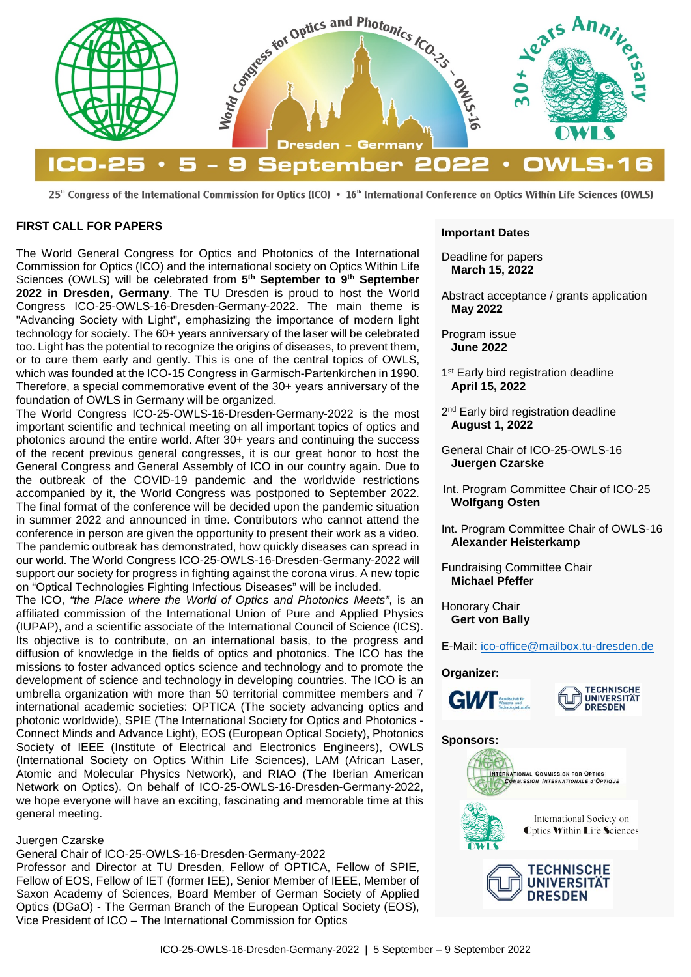

25<sup>th</sup> Congress of the International Commission for Optics (ICO) • 16<sup>th</sup> International Conference on Optics Within Life Sciences (OWLS)

#### **FIRST CALL FOR PAPERS**

The World General Congress for Optics and Photonics of the International Commission for Optics (ICO) and the international society on Optics Within Life Sciences (OWLS) will be celebrated from **5th September to 9th September 2022 in Dresden, Germany**. The TU Dresden is proud to host the World Congress ICO-25-OWLS-16-Dresden-Germany-2022. The main theme is "Advancing Society with Light", emphasizing the importance of modern light technology for society. The 60+ years anniversary of the laser will be celebrated too. Light has the potential to recognize the origins of diseases, to prevent them, or to cure them early and gently. This is one of the central topics of OWLS, which was founded at the ICO-15 Congress in Garmisch-Partenkirchen in 1990. Therefore, a special commemorative event of the 30+ years anniversary of the foundation of OWLS in Germany will be organized.

The World Congress ICO-25-OWLS-16-Dresden-Germany-2022 is the most important scientific and technical meeting on all important topics of optics and photonics around the entire world. After 30+ years and continuing the success of the recent previous general congresses, it is our great honor to host the General Congress and General Assembly of ICO in our country again. Due to the outbreak of the COVID-19 pandemic and the worldwide restrictions accompanied by it, the World Congress was postponed to September 2022. The final format of the conference will be decided upon the pandemic situation in summer 2022 and announced in time. Contributors who cannot attend the conference in person are given the opportunity to present their work as a video. The pandemic outbreak has demonstrated, how quickly diseases can spread in our world. The World Congress ICO-25-OWLS-16-Dresden-Germany-2022 will support our society for progress in fighting against the corona virus. A new topic on "Optical Technologies Fighting Infectious Diseases" will be included.

The ICO, *"the Place where the World of Optics and Photonics Meets"*, is an affiliated commission of the International Union of Pure and Applied Physics (IUPAP), and a scientific associate of the International Council of Science (ICS). Its objective is to contribute, on an international basis, to the progress and diffusion of knowledge in the fields of optics and photonics. The ICO has the missions to foster advanced optics science and technology and to promote the development of science and technology in developing countries. The ICO is an umbrella organization with more than 50 territorial committee members and 7 international academic societies: OPTICA (The society advancing optics and photonic worldwide), SPIE (The International Society for Optics and Photonics - Connect Minds and Advance Light), EOS (European Optical Society), Photonics Society of IEEE (Institute of Electrical and Electronics Engineers), OWLS (International Society on Optics Within Life Sciences), LAM (African Laser, Atomic and Molecular Physics Network), and RIAO (The Iberian American Network on Optics). On behalf of ICO-25-OWLS-16-Dresden-Germany-2022, we hope everyone will have an exciting, fascinating and memorable time at this general meeting.

#### Juergen Czarske

### General Chair of ICO-25-OWLS-16-Dresden-Germany-2022

Professor and Director at TU Dresden, Fellow of OPTICA, Fellow of SPIE, Fellow of EOS, Fellow of IET (former IEE), Senior Member of IEEE, Member of Saxon Academy of Sciences, Board Member of German Society of Applied Optics (DGaO) - The German Branch of the European Optical Society (EOS), Vice President of ICO – The International Commission for Optics

#### **Important Dates**

Deadline for papers **March 15, 2022**

Abstract acceptance / grants application **May 2022**

Program issue **June 2022**

- 1<sup>st</sup> Early bird registration deadline **April 15, 2022**
- 2<sup>nd</sup> Early bird registration deadline **August 1, 2022**
- General Chair of ICO-25-OWLS-16 **Juergen Czarske**
- Int. Program Committee Chair of ICO-25 **Wolfgang Osten**
- Int. Program Committee Chair of OWLS-16 **Alexander Heisterkamp**
- Fundraising Committee Chair **Michael Pfeffer**

Honorary Chair **Gert von Bally**

E-Mail: [ico-office@mailbox.tu-dresden.de](mailto:ico-office@mailbox.tu-dresden.de?subject=ICO25)

#### **Organizer:**